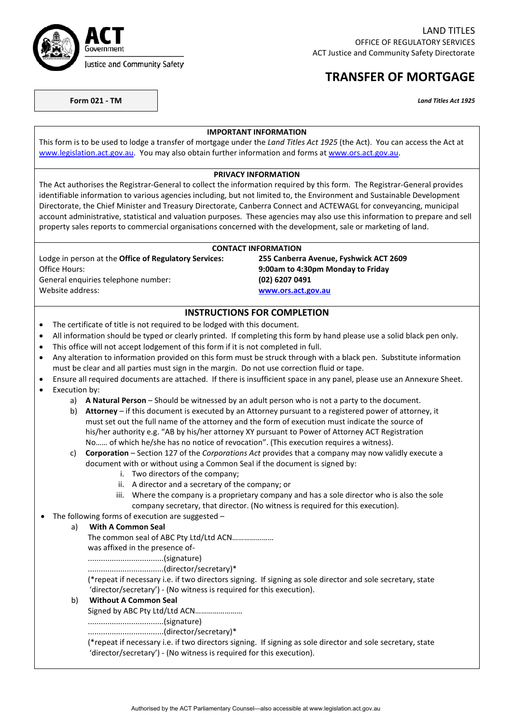

LAND TITLES OFFICE OF REGULATORY SERVICES ACT Justice and Community Safety Directorate

# **TRANSFER OF MORTGAGE**

**Form 021 - TM** *Land Titles Act 1925*

#### **IMPORTANT INFORMATION**

This form is to be used to lodge a transfer of mortgage under the *Land Titles Act 1925* (the Act). You can access the Act at [www.legislation.act.gov.au.](http://www.legislation.act.gov.au/) You may also obtain further information and forms at www.ors.act.gov.au.

#### **PRIVACY INFORMATION**

The Act authorises the Registrar-General to collect the information required by this form. The Registrar-General provides identifiable information to various agencies including, but not limited to, the Environment and Sustainable Development Directorate, the Chief Minister and Treasury Directorate, Canberra Connect and ACTEWAGL for conveyancing, municipal account administrative, statistical and valuation purposes. These agencies may also use this information to prepare and sell property sales reports to commercial organisations concerned with the development, sale or marketing of land.

#### **CONTACT INFORMATION**

Office Hours: **9:00am to 4:30pm Monday to Friday** General enquiries telephone number: **(02) 6207 0491** Website address: **[www.ors.act.gov.au](http://www.ors.act.gov.au/)**

# Lodge in person at the **Office of Regulatory Services: 255 Canberra Avenue, Fyshwick ACT 2609**

### **INSTRUCTIONS FOR COMPLETION**

- The certificate of title is not required to be lodged with this document.
- All information should be typed or clearly printed. If completing this form by hand please use a solid black pen only.
- This office will not accept lodgement of this form if it is not completed in full.
- Any alteration to information provided on this form must be struck through with a black pen. Substitute information must be clear and all parties must sign in the margin. Do not use correction fluid or tape.
- Ensure all required documents are attached. If there is insufficient space in any panel, please use an Annexure Sheet.
- Execution by:
	- a) **A Natural Person** Should be witnessed by an adult person who is not a party to the document.
	- b) **Attorney** if this document is executed by an Attorney pursuant to a registered power of attorney, it must set out the full name of the attorney and the form of execution must indicate the source of his/her authority e.g. "AB by his/her attorney XY pursuant to Power of Attorney ACT Registration No…… of which he/she has no notice of revocation". (This execution requires a witness).

### c) **Corporation** – Section 127 of the *Corporations Act* provides that a company may now validly execute a document with or without using a Common Seal if the document is signed by:

- i. Two directors of the company;
- ii. A director and a secretary of the company; or
- iii. Where the company is a proprietary company and has a sole director who is also the sole company secretary, that director. (No witness is required for this execution).
- The following forms of execution are suggested –

#### a) **With A Common Seal**

The common seal of ABC Pty Ltd/Ltd ACN…………………

was affixed in the presence of-

...................................(signature)

...................................(director/secretary)\*

(\*repeat if necessary i.e. if two directors signing. If signing as sole director and sole secretary, state 'director/secretary') - (No witness is required for this execution).

#### b) **Without A Common Seal**

Signed by ABC Pty Ltd/Ltd ACN……………………

...................................(signature)

...................................(director/secretary)\*

(\*repeat if necessary i.e. if two directors signing. If signing as sole director and sole secretary, state 'director/secretary') - (No witness is required for this execution).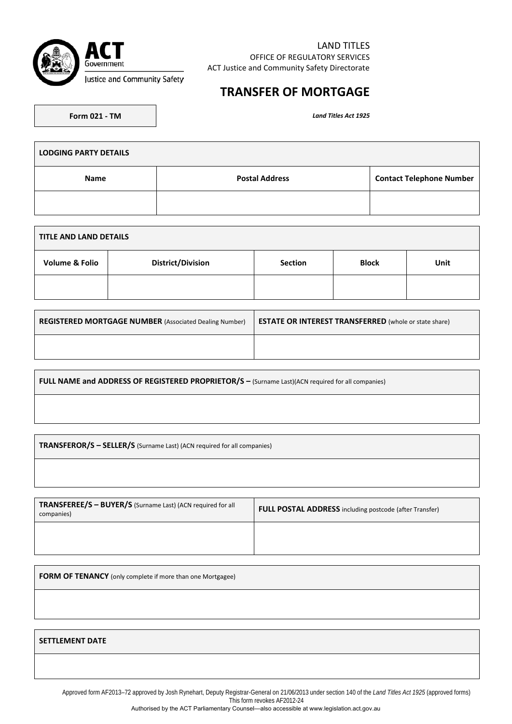

## **TRANSFER OF MORTGAGE**

Land Titles Act 1925

**LODGING PARTY DETAILS Name Postal Address Contact Telephone Number Contact Telephone Number** 

| <b>TITLE AND LAND DETAILS</b> |                          |                |              |      |  |
|-------------------------------|--------------------------|----------------|--------------|------|--|
| <b>Volume &amp; Folio</b>     | <b>District/Division</b> | <b>Section</b> | <b>Block</b> | Unit |  |
|                               |                          |                |              |      |  |

| <b>REGISTERED MORTGAGE NUMBER</b> (Associated Dealing Number) | <b>ESTATE OR INTEREST TRANSFERRED</b> (whole or state share) |
|---------------------------------------------------------------|--------------------------------------------------------------|
|                                                               |                                                              |

**FULL NAME and ADDRESS OF REGISTERED PROPRIETOR/S –** (Surname Last)(ACN required for all companies)

**TRANSFEROR/S – SELLER/S** (Surname Last) (ACN required for all companies)

| TRANSFEREE/S - BUYER/S (Surname Last) (ACN required for all<br>companies) | <b>FULL POSTAL ADDRESS</b> including postcode (after Transfer) |  |
|---------------------------------------------------------------------------|----------------------------------------------------------------|--|
|                                                                           |                                                                |  |

**FORM OF TENANCY** (only complete if more than one Mortgagee)

#### **SETTLEMENT DATE**

Approved form AF2013–72 approved by Josh Rynehart, Deputy Registrar-General on 21/06/2013 under section 140 of the *Land Titles Act 1925* (approved forms) This form revokes AF2012-24